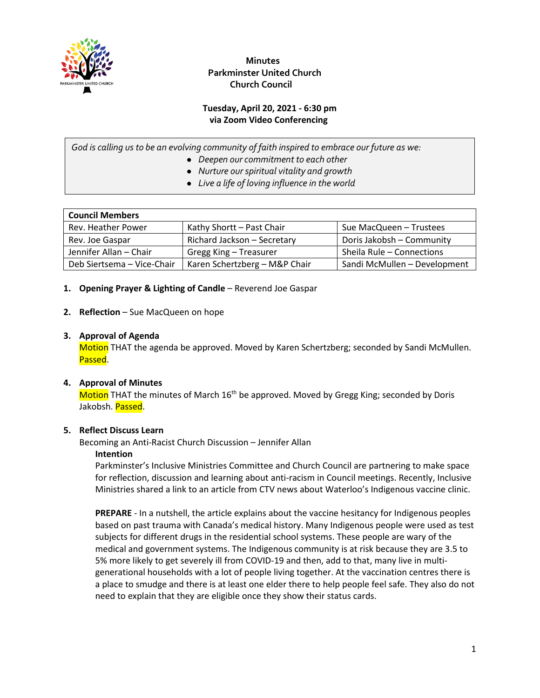

 **Minutes Parkminster United Church Church Council**

#### **Tuesday, April 20, 2021 - 6:30 pm via Zoom Video Conferencing**

*God is calling us to be an evolving community of faith inspired to embrace our future as we:*

- *Deepen our commitment to each other*
- *Nurture our spiritual vitality and growth*
- *Live a life of loving influence in the world*

| <b>Council Members</b>     |                               |                              |  |  |  |  |  |  |
|----------------------------|-------------------------------|------------------------------|--|--|--|--|--|--|
| Rev. Heather Power         | Kathy Shortt - Past Chair     | Sue MacQueen - Trustees      |  |  |  |  |  |  |
| Rev. Joe Gaspar            | Richard Jackson - Secretary   | Doris Jakobsh - Community    |  |  |  |  |  |  |
| Jennifer Allan - Chair     | Gregg King - Treasurer        | Sheila Rule - Connections    |  |  |  |  |  |  |
| Deb Siertsema - Vice-Chair | Karen Schertzberg - M&P Chair | Sandi McMullen - Development |  |  |  |  |  |  |

#### **1. Opening Prayer & Lighting of Candle** – Reverend Joe Gaspar

#### **2. Reflection** – Sue MacQueen on hope

#### **3. Approval of Agenda**

Motion THAT the agenda be approved. Moved by Karen Schertzberg; seconded by Sandi McMullen. Passed.

#### **4. Approval of Minutes**

Motion THAT the minutes of March  $16<sup>th</sup>$  be approved. Moved by Gregg King; seconded by Doris Jakobsh. Passed.

#### **5. Reflect Discuss Learn**

Becoming an Anti-Racist Church Discussion – Jennifer Allan

#### **Intention**

Parkminster's Inclusive Ministries Committee and Church Council are partnering to make space for reflection, discussion and learning about anti-racism in Council meetings. Recently, Inclusive Ministries shared a link to an article from CTV news about Waterloo's Indigenous vaccine clinic.

**PREPARE** - In a nutshell, the article explains about the vaccine hesitancy for Indigenous peoples based on past trauma with Canada's medical history. Many Indigenous people were used as test subjects for different drugs in the residential school systems. These people are wary of the medical and government systems. The Indigenous community is at risk because they are 3.5 to 5% more likely to get severely ill from COVID-19 and then, add to that, many live in multigenerational households with a lot of people living together. At the vaccination centres there is a place to smudge and there is at least one elder there to help people feel safe. They also do not need to explain that they are eligible once they show their status cards.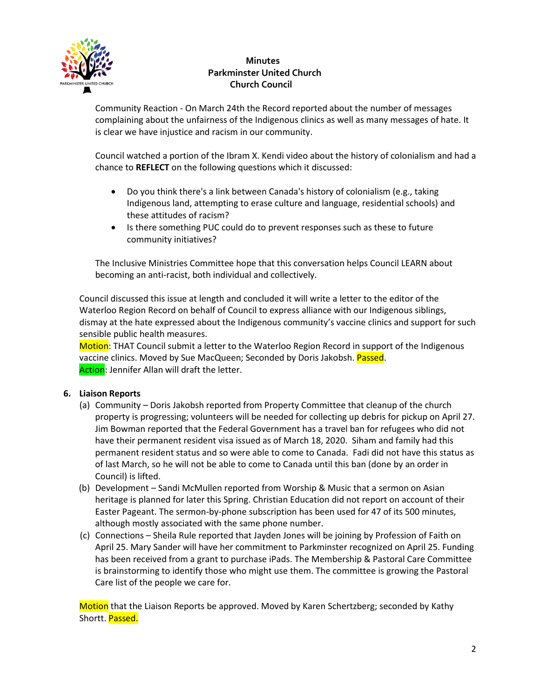

## **Minutes Parkminster United Church Church Council**

Community Reaction - On March 24th the Record reported about the number of messages complaining about the unfairness of the Indigenous clinics as well as many messages of hate. It is clear we have injustice and racism in our community.

Council watched a portion of the Ibram X. Kendi video about the history of colonialism and had a chance to **REFLECT** on the following questions which it discussed:

- Do you think there's a link between Canada's history of colonialism (e.g., taking Indigenous land, attempting to erase culture and language, residential schools) and these attitudes of racism?
- Is there something PUC could do to prevent responses such as these to future community initiatives?

The Inclusive Ministries Committee hope that this conversation helps Council LEARN about becoming an anti-racist, both individual and collectively.

Council discussed this issue at length and concluded it will write a letter to the editor of the Waterloo Region Record on behalf of Council to express alliance with our Indigenous siblings, dismay at the hate expressed about the Indigenous community's vaccine clinics and support for such sensible public health measures.

Motion: THAT Council submit a letter to the Waterloo Region Record in support of the Indigenous vaccine clinics. Moved by Sue MacQueen; Seconded by Doris Jakobsh. Passed. Action: Jennifer Allan will draft the letter.

#### **6. Liaison Reports**

- (a) Community Doris Jakobsh reported from Property Committee that cleanup of the church property is progressing; volunteers will be needed for collecting up debris for pickup on April 27. Jim Bowman reported that the Federal Government has a travel ban for refugees who did not have their permanent resident visa issued as of March 18, 2020. Siham and family had this permanent resident status and so were able to come to Canada. Fadi did not have this status as of last March, so he will not be able to come to Canada until this ban (done by an order in Council) is lifted.
- (b) Development Sandi McMullen reported from Worship & Music that a sermon on Asian heritage is planned for later this Spring. Christian Education did not report on account of their Easter Pageant. The sermon-by-phone subscription has been used for 47 of its 500 minutes, although mostly associated with the same phone number.
- (c) Connections Sheila Rule reported that Jayden Jones will be joining by Profession of Faith on April 25. Mary Sander will have her commitment to Parkminster recognized on April 25. Funding has been received from a grant to purchase iPads. The Membership & Pastoral Care Committee is brainstorming to identify those who might use them. The committee is growing the Pastoral Care list of the people we care for.

Motion that the Liaison Reports be approved. Moved by Karen Schertzberg; seconded by Kathy Shortt. Passed.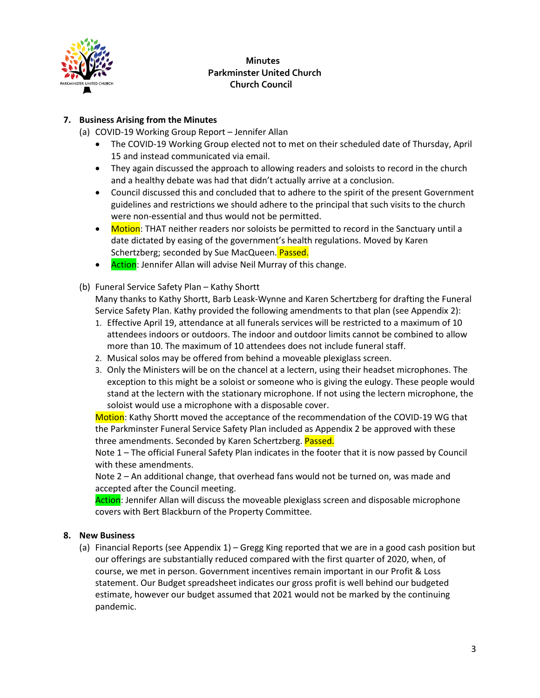

## **Minutes Parkminster United Church Church Council**

#### **7. Business Arising from the Minutes**

- (a) COVID-19 Working Group Report Jennifer Allan
	- The COVID-19 Working Group elected not to met on their scheduled date of Thursday, April 15 and instead communicated via email.
	- They again discussed the approach to allowing readers and soloists to record in the church and a healthy debate was had that didn't actually arrive at a conclusion.
	- Council discussed this and concluded that to adhere to the spirit of the present Government guidelines and restrictions we should adhere to the principal that such visits to the church were non-essential and thus would not be permitted.
	- Motion: THAT neither readers nor soloists be permitted to record in the Sanctuary until a date dictated by easing of the government's health regulations. Moved by Karen Schertzberg; seconded by Sue MacQueen. Passed.
	- Action: Jennifer Allan will advise Neil Murray of this change.
- (b) Funeral Service Safety Plan Kathy Shortt

Many thanks to Kathy Shortt, Barb Leask-Wynne and Karen Schertzberg for drafting the Funeral Service Safety Plan. Kathy provided the following amendments to that plan (see Appendix 2):

- 1. Effective April 19, attendance at all funerals services will be restricted to a maximum of 10 attendees indoors or outdoors. The indoor and outdoor limits cannot be combined to allow more than 10. The maximum of 10 attendees does not include funeral staff.
- 2. Musical solos may be offered from behind a moveable plexiglass screen.
- 3. Only the Ministers will be on the chancel at a lectern, using their headset microphones. The exception to this might be a soloist or someone who is giving the eulogy. These people would stand at the lectern with the stationary microphone. If not using the lectern microphone, the soloist would use a microphone with a disposable cover.

Motion: Kathy Shortt moved the acceptance of the recommendation of the COVID-19 WG that the Parkminster Funeral Service Safety Plan included as Appendix 2 be approved with these three amendments. Seconded by Karen Schertzberg. Passed.

Note 1 – The official Funeral Safety Plan indicates in the footer that it is now passed by Council with these amendments.

Note 2 – An additional change, that overhead fans would not be turned on, was made and accepted after the Council meeting.

Action: Jennifer Allan will discuss the moveable plexiglass screen and disposable microphone covers with Bert Blackburn of the Property Committee.

#### **8. New Business**

(a) Financial Reports (see Appendix 1) – Gregg King reported that we are in a good cash position but our offerings are substantially reduced compared with the first quarter of 2020, when, of course, we met in person. Government incentives remain important in our Profit & Loss statement. Our Budget spreadsheet indicates our gross profit is well behind our budgeted estimate, however our budget assumed that 2021 would not be marked by the continuing pandemic.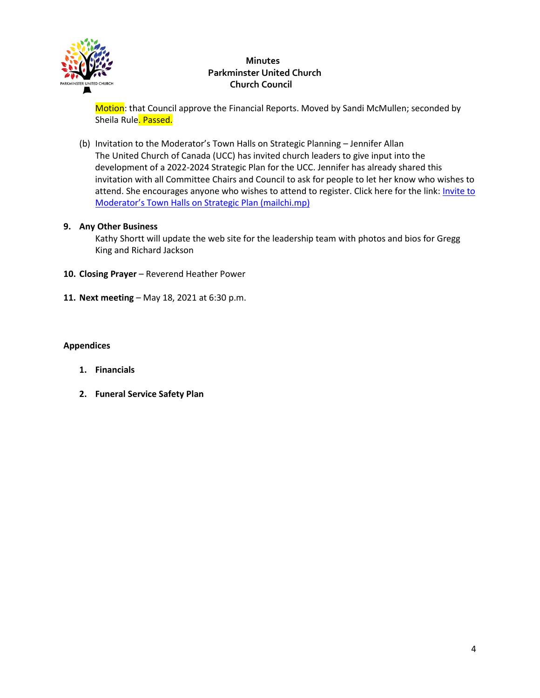

## **Minutes Parkminster United Church Church Council**

Motion: that Council approve the Financial Reports. Moved by Sandi McMullen; seconded by Sheila Rule. Passed.

(b) Invitation to the Moderator's Town Halls on Strategic Planning – Jennifer Allan The United Church of Canada (UCC) has invited church leaders to give input into the development of a 2022-2024 Strategic Plan for the UCC. Jennifer has already shared this invitation with all Committee Chairs and Council to ask for people to let her know who wishes to attend. She encourages anyone who wishes to attend to register. Click here for the link: *Invite to* Moderator's Town Halls on Strategic Plan (mailchi.mp)

#### **9. Any Other Business**

Kathy Shortt will update the web site for the leadership team with photos and bios for Gregg King and Richard Jackson

- 10. Closing Prayer Reverend Heather Power
- **11. Next meeting** May 18, 2021 at 6:30 p.m.

#### **Appendices**

- **1. Financials**
- **2. Funeral Service Safety Plan**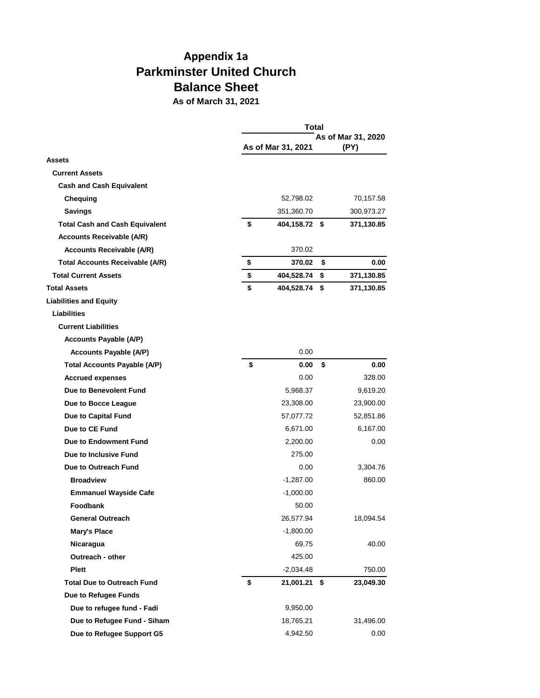# **Appendix 1a Parkminster United Church Balance Sheet**

**As of March 31, 2021**

|                                        | Total |                    |                            |            |  |  |
|----------------------------------------|-------|--------------------|----------------------------|------------|--|--|
|                                        |       | As of Mar 31, 2021 | As of Mar 31, 2020<br>(PY) |            |  |  |
| <b>Assets</b>                          |       |                    |                            |            |  |  |
| <b>Current Assets</b>                  |       |                    |                            |            |  |  |
| <b>Cash and Cash Equivalent</b>        |       |                    |                            |            |  |  |
| Chequing                               |       | 52,798.02          |                            | 70,157.58  |  |  |
| <b>Savings</b>                         |       | 351,360.70         |                            | 300,973.27 |  |  |
| <b>Total Cash and Cash Equivalent</b>  | \$    | 404,158.72 \$      |                            | 371,130.85 |  |  |
| <b>Accounts Receivable (A/R)</b>       |       |                    |                            |            |  |  |
| <b>Accounts Receivable (A/R)</b>       |       | 370.02             |                            |            |  |  |
| <b>Total Accounts Receivable (A/R)</b> | \$    | 370.02             | \$                         | 0.00       |  |  |
| <b>Total Current Assets</b>            | \$    | 404,528.74         | \$                         | 371,130.85 |  |  |
| <b>Total Assets</b>                    | \$    | 404,528.74 \$      |                            | 371,130.85 |  |  |
| <b>Liabilities and Equity</b>          |       |                    |                            |            |  |  |
| Liabilities                            |       |                    |                            |            |  |  |
| <b>Current Liabilities</b>             |       |                    |                            |            |  |  |
| <b>Accounts Payable (A/P)</b>          |       |                    |                            |            |  |  |
| <b>Accounts Payable (A/P)</b>          |       | 0.00               |                            |            |  |  |
| <b>Total Accounts Payable (A/P)</b>    | \$    | 0.00               | \$                         | 0.00       |  |  |
| <b>Accrued expenses</b>                |       | 0.00               |                            | 328.00     |  |  |
| Due to Benevolent Fund                 |       | 5,968.37           |                            | 9,619.20   |  |  |
| Due to Bocce League                    |       | 23,308.00          |                            | 23,900.00  |  |  |
| Due to Capital Fund                    |       | 57,077.72          |                            | 52,851.86  |  |  |
| Due to CE Fund                         |       | 6,671.00           |                            | 6,167.00   |  |  |
| Due to Endowment Fund                  |       | 2,200.00           |                            | 0.00       |  |  |
| Due to Inclusive Fund                  |       | 275.00             |                            |            |  |  |
| Due to Outreach Fund                   |       | 0.00               |                            | 3,304.76   |  |  |
| <b>Broadview</b>                       |       | -1,287.00          |                            | 860.00     |  |  |
| <b>Emmanuel Wayside Cafe</b>           |       | $-1,000.00$        |                            |            |  |  |
| Foodbank                               |       | 50.00              |                            |            |  |  |
| <b>General Outreach</b>                |       | 26,577.94          |                            | 18,094.54  |  |  |
| Mary's Place                           |       | -1,800.00          |                            |            |  |  |
| Nicaragua                              |       | 69.75              |                            | 40.00      |  |  |
| Outreach - other                       |       | 425.00             |                            |            |  |  |
| <b>Plett</b>                           |       | $-2,034.48$        |                            | 750.00     |  |  |
| <b>Total Due to Outreach Fund</b>      | \$    | 21,001.21          | -\$                        | 23,049.30  |  |  |
| Due to Refugee Funds                   |       |                    |                            |            |  |  |
| Due to refugee fund - Fadi             |       | 9,950.00           |                            |            |  |  |
| Due to Refugee Fund - Siham            |       | 18,765.21          |                            | 31,496.00  |  |  |
| Due to Refugee Support G5              |       | 4,942.50           |                            | 0.00       |  |  |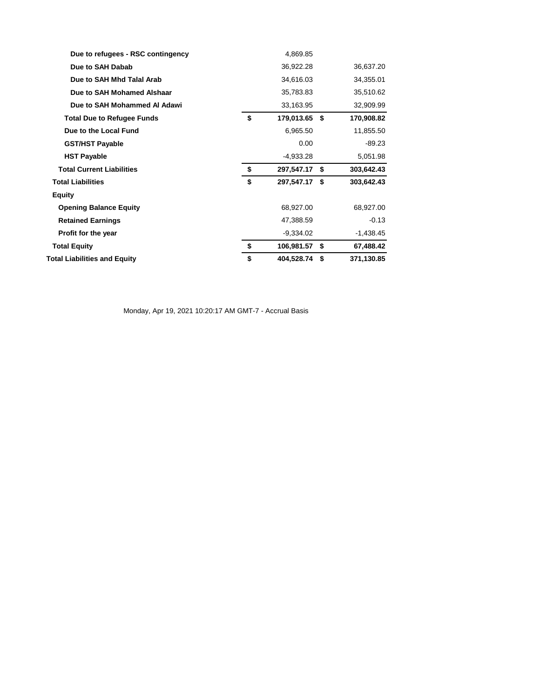| Due to refugees - RSC contingency   | 4,869.85            |                  |
|-------------------------------------|---------------------|------------------|
| Due to SAH Dabab                    | 36,922.28           | 36,637.20        |
| Due to SAH Mhd Talal Arab           | 34,616.03           | 34,355.01        |
| Due to SAH Mohamed Alshaar          | 35,783.83           | 35,510.62        |
| Due to SAH Mohammed AI Adawi        | 33,163.95           | 32,909.99        |
| <b>Total Due to Refugee Funds</b>   | \$<br>179,013.65 \$ | 170,908.82       |
| Due to the Local Fund               | 6,965.50            | 11,855.50        |
| <b>GST/HST Payable</b>              | 0.00                | $-89.23$         |
| <b>HST Payable</b>                  | $-4,933.28$         | 5,051.98         |
| <b>Total Current Liabilities</b>    | \$<br>297,547.17 \$ | 303,642.43       |
| <b>Total Liabilities</b>            | \$<br>297,547.17 \$ | 303,642.43       |
| <b>Equity</b>                       |                     |                  |
| <b>Opening Balance Equity</b>       | 68,927.00           | 68,927.00        |
| <b>Retained Earnings</b>            | 47,388.59           | $-0.13$          |
| Profit for the year                 | $-9,334.02$         | $-1,438.45$      |
| <b>Total Equity</b>                 | \$<br>106,981.57 \$ | 67,488.42        |
| <b>Total Liabilities and Equity</b> | \$<br>404,528.74    | \$<br>371,130.85 |

Monday, Apr 19, 2021 10:20:17 AM GMT-7 - Accrual Basis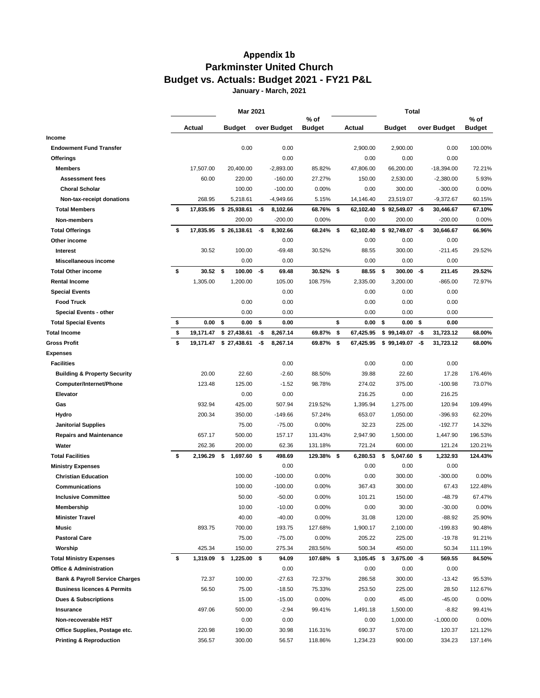## **Appendix 1b Parkminster United Church Budget vs. Actuals: Budget 2021 - FY21 P&L**

**January - March, 2021**

|                                           | <b>Mar 2021</b> |                   |     |             |                       | Total |           |      |                  |     |              |                       |
|-------------------------------------------|-----------------|-------------------|-----|-------------|-----------------------|-------|-----------|------|------------------|-----|--------------|-----------------------|
|                                           | Actual          | <b>Budget</b>     |     | over Budget | % of<br><b>Budget</b> |       | Actual    |      | <b>Budget</b>    |     | over Budget  | % of<br><b>Budget</b> |
| Income                                    |                 |                   |     |             |                       |       |           |      |                  |     |              |                       |
| <b>Endowment Fund Transfer</b>            |                 | 0.00              |     | 0.00        |                       |       | 2,900.00  |      | 2,900.00         |     | 0.00         | 100.00%               |
| Offerings                                 |                 |                   |     | 0.00        |                       |       | 0.00      |      | 0.00             |     | 0.00         |                       |
| <b>Members</b>                            | 17,507.00       | 20,400.00         |     | $-2,893.00$ | 85.82%                |       | 47,806.00 |      | 66,200.00        |     | $-18,394.00$ | 72.21%                |
| <b>Assessment fees</b>                    | 60.00           | 220.00            |     | $-160.00$   | 27.27%                |       | 150.00    |      | 2,530.00         |     | $-2,380.00$  | 5.93%                 |
| <b>Choral Scholar</b>                     |                 | 100.00            |     | $-100.00$   | 0.00%                 |       | 0.00      |      | 300.00           |     | $-300.00$    | 0.00%                 |
| Non-tax-receipt donations                 | 268.95          | 5,218.61          |     | $-4,949.66$ | 5.15%                 |       | 14,146.40 |      | 23,519.07        |     | $-9,372.67$  | 60.15%                |
| <b>Total Members</b>                      | \$<br>17,835.95 | \$25,938.61       | -\$ | 8,102.66    | 68.76% \$             |       | 62,102.40 |      | $$92,549.07$ -\$ |     | 30,446.67    | 67.10%                |
| Non-members                               |                 | 200.00            |     | $-200.00$   | 0.00%                 |       | 0.00      |      | 200.00           |     | $-200.00$    | 0.00%                 |
| <b>Total Offerings</b>                    | \$<br>17,835.95 | \$26,138.61       | -\$ | 8,302.66    | 68.24%                | - \$  | 62,102.40 |      | \$92,749.07      | -\$ | 30,646.67    | 66.96%                |
| Other income                              |                 |                   |     | 0.00        |                       |       | 0.00      |      | 0.00             |     | 0.00         |                       |
| <b>Interest</b>                           | 30.52           | 100.00            |     | $-69.48$    | 30.52%                |       | 88.55     |      | 300.00           |     | $-211.45$    | 29.52%                |
| Miscellaneous income                      |                 | 0.00              |     | 0.00        |                       |       | 0.00      |      | 0.00             |     | 0.00         |                       |
| <b>Total Other income</b>                 | \$<br>30.52     | \$<br>100.00      | -\$ | 69.48       | $30.52\%$ \$          |       | 88.55     | \$   | 300.00           | -\$ | 211.45       | 29.52%                |
| <b>Rental Income</b>                      | 1,305.00        | 1,200.00          |     | 105.00      | 108.75%               |       | 2,335.00  |      | 3,200.00         |     | $-865.00$    | 72.97%                |
| <b>Special Events</b>                     |                 |                   |     | 0.00        |                       |       | 0.00      |      | 0.00             |     | 0.00         |                       |
| <b>Food Truck</b>                         |                 | 0.00              |     | 0.00        |                       |       | 0.00      |      | 0.00             |     | 0.00         |                       |
| Special Events - other                    |                 | 0.00              |     | 0.00        |                       |       | 0.00      |      | 0.00             |     | 0.00         |                       |
| <b>Total Special Events</b>               | \$<br>0.00      | \$<br>0.00        | \$  | 0.00        |                       | \$    | 0.00      | \$   | 0.00 S           |     | 0.00         |                       |
| Total Income                              | \$<br>19,171.47 | \$27,438.61       | -\$ | 8,267.14    | 69.87%                | \$    | 67,425.95 |      | \$99,149.07      | -\$ | 31,723.12    | 68.00%                |
| <b>Gross Profit</b>                       | \$<br>19,171.47 | \$27,438.61       | -\$ | 8,267.14    | 69.87% \$             |       | 67,425.95 |      | $$99,149.07$ -\$ |     | 31,723.12    | 68.00%                |
| Expenses                                  |                 |                   |     |             |                       |       |           |      |                  |     |              |                       |
| <b>Facilities</b>                         |                 |                   |     | 0.00        |                       |       | 0.00      |      | 0.00             |     | 0.00         |                       |
| <b>Building &amp; Property Security</b>   | 20.00           | 22.60             |     | $-2.60$     | 88.50%                |       | 39.88     |      | 22.60            |     | 17.28        | 176.46%               |
| Computer/Internet/Phone                   | 123.48          | 125.00            |     | $-1.52$     | 98.78%                |       | 274.02    |      | 375.00           |     | $-100.98$    | 73.07%                |
| Elevator                                  |                 | 0.00              |     | 0.00        |                       |       | 216.25    |      | 0.00             |     | 216.25       |                       |
| Gas                                       | 932.94          | 425.00            |     | 507.94      | 219.52%               |       | 1,395.94  |      | 1,275.00         |     | 120.94       | 109.49%               |
| Hydro                                     | 200.34          | 350.00            |     | $-149.66$   | 57.24%                |       | 653.07    |      | 1,050.00         |     | -396.93      | 62.20%                |
| <b>Janitorial Supplies</b>                |                 | 75.00             |     | $-75.00$    | 0.00%                 |       | 32.23     |      | 225.00           |     | $-192.77$    | 14.32%                |
| <b>Repairs and Maintenance</b>            | 657.17          | 500.00            |     | 157.17      | 131.43%               |       | 2,947.90  |      | 1,500.00         |     | 1,447.90     | 196.53%               |
| Water                                     | 262.36          | 200.00            |     | 62.36       | 131.18%               |       | 721.24    |      | 600.00           |     | 121.24       | 120.21%               |
| <b>Total Facilities</b>                   | \$<br>2,196.29  | \$<br>1,697.60    | -\$ | 498.69      | 129.38%               | \$    | 6,280.53  | \$   | 5,047.60 \$      |     | 1,232.93     | 124.43%               |
| <b>Ministry Expenses</b>                  |                 |                   |     | 0.00        |                       |       | 0.00      |      | 0.00             |     | 0.00         |                       |
| <b>Christian Education</b>                |                 | 100.00            |     | $-100.00$   | $0.00\%$              |       | 0.00      |      | 300.00           |     | $-300.00$    | 0.00%                 |
| Communications                            |                 | 100.00            |     | $-100.00$   | $0.00\%$              |       | 367.43    |      | 300.00           |     | 67.43        | 122.48%               |
| <b>Inclusive Committee</b>                |                 | 50.00             |     | $-50.00$    | $0.00\%$              |       | 101.21    |      | 150.00           |     | $-48.79$     | 67.47%                |
| Membership                                |                 | 10.00             |     | $-10.00$    | $0.00\%$              |       | 0.00      |      | 30.00            |     | $-30.00$     | 0.00%                 |
| <b>Minister Travel</b>                    |                 | 40.00             |     | $-40.00$    | 0.00%                 |       | 31.08     |      | 120.00           |     | -88.92       | 25.90%                |
| Music                                     | 893.75          | 700.00            |     | 193.75      | 127.68%               |       | 1,900.17  |      | 2,100.00         |     | $-199.83$    | 90.48%                |
| <b>Pastoral Care</b>                      |                 | 75.00             |     | $-75.00$    | $0.00\%$              |       | 205.22    |      | 225.00           |     | $-19.78$     | 91.21%                |
| Worship                                   | 425.34          | 150.00            |     | 275.34      | 283.56%               |       | 500.34    |      | 450.00           |     | 50.34        | 111.19%               |
| <b>Total Ministry Expenses</b>            | \$<br>1,319.09  | 1,225.00 \$<br>\$ |     | 94.09       | 107.68% \$            |       | 3,105.45  | - \$ | $3,675.00 - $$   |     | 569.55       | 84.50%                |
| <b>Office &amp; Administration</b>        |                 |                   |     | 0.00        |                       |       | 0.00      |      | 0.00             |     | 0.00         |                       |
| <b>Bank &amp; Payroll Service Charges</b> | 72.37           | 100.00            |     | $-27.63$    | 72.37%                |       | 286.58    |      | 300.00           |     | -13.42       | 95.53%                |
| <b>Business licences &amp; Permits</b>    | 56.50           | 75.00             |     | $-18.50$    | 75.33%                |       | 253.50    |      | 225.00           |     | 28.50        | 112.67%               |
| <b>Dues &amp; Subscriptions</b>           |                 | 15.00             |     | $-15.00$    | 0.00%                 |       | 0.00      |      | 45.00            |     | $-45.00$     | 0.00%                 |
|                                           | 497.06          | 500.00            |     | $-2.94$     | 99.41%                |       | 1,491.18  |      | 1,500.00         |     | $-8.82$      | 99.41%                |
| Insurance<br>Non-recoverable HST          |                 |                   |     |             |                       |       |           |      |                  |     |              |                       |
|                                           |                 | 0.00              |     | 0.00        |                       |       | 0.00      |      | 1,000.00         |     | $-1,000.00$  | 0.00%                 |
| Office Supplies, Postage etc.             | 220.98          | 190.00            |     | 30.98       | 116.31%               |       | 690.37    |      | 570.00           |     | 120.37       | 121.12%               |
| <b>Printing &amp; Reproduction</b>        | 356.57          | 300.00            |     | 56.57       | 118.86%               |       | 1,234.23  |      | 900.00           |     | 334.23       | 137.14%               |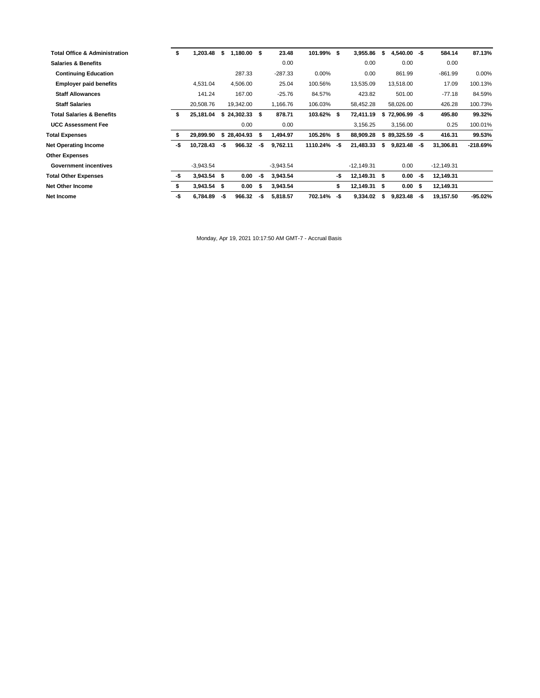| <b>Total Office &amp; Administration</b> | \$  | 1,203.48      | \$   | $1,180.00$ \$   |     | 23.48       | 101.99% \$ |     | 3,955.86     | \$   | $4,540.00 - $$   |      | 584.14       | 87.13%     |
|------------------------------------------|-----|---------------|------|-----------------|-----|-------------|------------|-----|--------------|------|------------------|------|--------------|------------|
| <b>Salaries &amp; Benefits</b>           |     |               |      |                 |     | 0.00        |            |     | 0.00         |      | 0.00             |      | 0.00         |            |
| <b>Continuing Education</b>              |     |               |      | 287.33          |     | $-287.33$   | 0.00%      |     | 0.00         |      | 861.99           |      | $-861.99$    | 0.00%      |
| <b>Employer paid benefits</b>            |     | 4,531.04      |      | 4,506.00        |     | 25.04       | 100.56%    |     | 13,535.09    |      | 13,518.00        |      | 17.09        | 100.13%    |
| <b>Staff Allowances</b>                  |     | 141.24        |      | 167.00          |     | $-25.76$    | 84.57%     |     | 423.82       |      | 501.00           |      | $-77.18$     | 84.59%     |
| <b>Staff Salaries</b>                    |     | 20,508.76     |      | 19,342.00       |     | 1,166.76    | 106.03%    |     | 58,452.28    |      | 58,026.00        |      | 426.28       | 100.73%    |
| <b>Total Salaries &amp; Benefits</b>     | s   | 25,181.04     |      | $$24,302.33$ \$ |     | 878.71      | 103.62% \$ |     | 72,411.19    |      | $$72,906.99$ -\$ |      | 495.80       | 99.32%     |
| <b>UCC Assessment Fee</b>                |     |               |      | 0.00            |     | 0.00        |            |     | 3,156.25     |      | 3,156.00         |      | 0.25         | 100.01%    |
| <b>Total Expenses</b>                    |     | 29,899.90     | s.   | 28,404.93       | S   | 1,494.97    | 105.26% \$ |     | 88,909.28    |      | $$89,325.59$ -\$ |      | 416.31       | 99.53%     |
| <b>Net Operating Income</b>              | -\$ | 10,728.43     | -\$  | 966.32          | -\$ | 9,762.11    | 1110.24%   | -\$ | 21,483.33    |      | 9,823.48         | -\$  | 31,306.81    | $-218.69%$ |
| <b>Other Expenses</b>                    |     |               |      |                 |     |             |            |     |              |      |                  |      |              |            |
| <b>Government incentives</b>             |     | $-3,943.54$   |      |                 |     | $-3,943.54$ |            |     | $-12,149.31$ |      | 0.00             |      | $-12,149.31$ |            |
| <b>Total Other Expenses</b>              | -\$ | $3,943.54$ \$ |      | 0.00            | -\$ | 3,943.54    |            | -\$ | 12,149.31 \$ |      | 0.00             | -\$  | 12,149.31    |            |
| <b>Net Other Income</b>                  |     | 3,943.54      | - \$ | 0.00            | Ŝ.  | 3,943.54    |            | \$  | 12,149.31    | - \$ | 0.00             | - \$ | 12,149.31    |            |
| Net Income                               | -\$ | 6,784.89      | -\$  | 966.32          | -\$ | 5,818.57    | 702.14%    | -\$ | 9,334.02     | s    | 9,823.48         | -\$  | 19,157.50    | $-95.02\%$ |
|                                          |     |               |      |                 |     |             |            |     |              |      |                  |      |              |            |

Monday, Apr 19, 2021 10:17:50 AM GMT-7 - Accrual Basis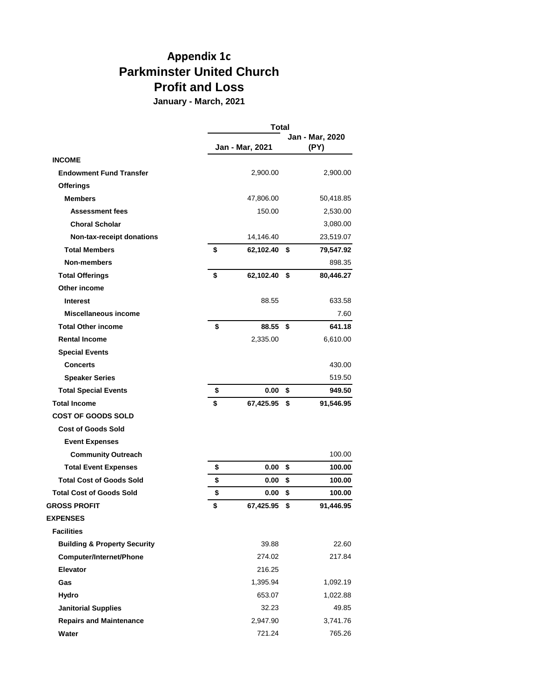## **Appendix 1c Parkminster United Church Profit and Loss**

**January - March, 2021**

|                                         | <b>Total</b>       |    |                         |  |  |  |
|-----------------------------------------|--------------------|----|-------------------------|--|--|--|
|                                         | Jan - Mar, 2021    |    | Jan - Mar, 2020<br>(PY) |  |  |  |
| <b>INCOME</b>                           |                    |    |                         |  |  |  |
| <b>Endowment Fund Transfer</b>          | 2,900.00           |    | 2,900.00                |  |  |  |
| <b>Offerings</b>                        |                    |    |                         |  |  |  |
| <b>Members</b>                          | 47,806.00          |    | 50,418.85               |  |  |  |
| <b>Assessment fees</b>                  | 150.00             |    | 2,530.00                |  |  |  |
| <b>Choral Scholar</b>                   |                    |    | 3,080.00                |  |  |  |
| Non-tax-receipt donations               | 14,146.40          |    | 23,519.07               |  |  |  |
| <b>Total Members</b>                    | \$<br>62,102.40    | \$ | 79,547.92               |  |  |  |
| <b>Non-members</b>                      |                    |    | 898.35                  |  |  |  |
| <b>Total Offerings</b>                  | \$<br>62,102.40 \$ |    | 80,446.27               |  |  |  |
| Other income                            |                    |    |                         |  |  |  |
| <b>Interest</b>                         | 88.55              |    | 633.58                  |  |  |  |
| <b>Miscellaneous income</b>             |                    |    | 7.60                    |  |  |  |
| <b>Total Other income</b>               | \$<br>88.55        | \$ | 641.18                  |  |  |  |
| <b>Rental Income</b>                    | 2,335.00           |    | 6,610.00                |  |  |  |
| <b>Special Events</b>                   |                    |    |                         |  |  |  |
| <b>Concerts</b>                         |                    |    | 430.00                  |  |  |  |
| <b>Speaker Series</b>                   |                    |    | 519.50                  |  |  |  |
| <b>Total Special Events</b>             | \$<br>0.00         | \$ | 949.50                  |  |  |  |
| <b>Total Income</b>                     | \$<br>67,425.95    | \$ | 91,546.95               |  |  |  |
| <b>COST OF GOODS SOLD</b>               |                    |    |                         |  |  |  |
| <b>Cost of Goods Sold</b>               |                    |    |                         |  |  |  |
| <b>Event Expenses</b>                   |                    |    |                         |  |  |  |
| <b>Community Outreach</b>               |                    |    | 100.00                  |  |  |  |
| <b>Total Event Expenses</b>             | \$<br>0.00         | \$ | 100.00                  |  |  |  |
| <b>Total Cost of Goods Sold</b>         | \$<br>0.00         | \$ | 100.00                  |  |  |  |
| <b>Total Cost of Goods Sold</b>         | \$<br>0.00         | \$ | 100.00                  |  |  |  |
| <b>GROSS PROFIT</b>                     | \$<br>67,425.95    | \$ | 91,446.95               |  |  |  |
| <b>EXPENSES</b>                         |                    |    |                         |  |  |  |
| <b>Facilities</b>                       |                    |    |                         |  |  |  |
| <b>Building &amp; Property Security</b> | 39.88              |    | 22.60                   |  |  |  |
| Computer/Internet/Phone                 | 274.02             |    | 217.84                  |  |  |  |
| <b>Elevator</b>                         | 216.25             |    |                         |  |  |  |
| Gas                                     | 1,395.94           |    | 1,092.19                |  |  |  |
| Hydro                                   | 653.07             |    | 1,022.88                |  |  |  |
| <b>Janitorial Supplies</b>              | 32.23              |    | 49.85                   |  |  |  |
| <b>Repairs and Maintenance</b>          | 2,947.90           |    | 3,741.76                |  |  |  |
| Water                                   | 721.24             |    | 765.26                  |  |  |  |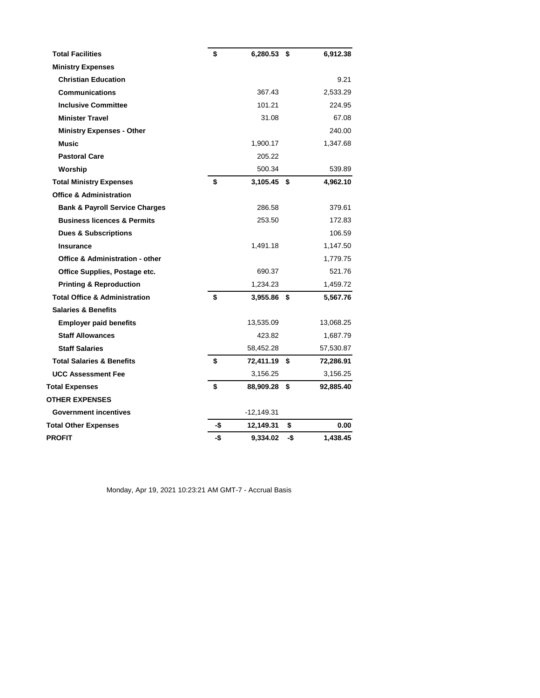| <b>Total Facilities</b>                    | \$  | 6,280.53 \$   |      | 6,912.38  |
|--------------------------------------------|-----|---------------|------|-----------|
| <b>Ministry Expenses</b>                   |     |               |      |           |
| <b>Christian Education</b>                 |     |               |      | 9.21      |
| <b>Communications</b>                      |     | 367.43        |      | 2,533.29  |
| <b>Inclusive Committee</b>                 |     | 101.21        |      | 224.95    |
| <b>Minister Travel</b>                     |     | 31.08         |      | 67.08     |
| <b>Ministry Expenses - Other</b>           |     |               |      | 240.00    |
| <b>Music</b>                               |     | 1,900.17      |      | 1,347.68  |
| <b>Pastoral Care</b>                       |     | 205.22        |      |           |
| Worship                                    |     | 500.34        |      | 539.89    |
| <b>Total Ministry Expenses</b>             | \$  | $3,105.45$ \$ |      | 4,962.10  |
| <b>Office &amp; Administration</b>         |     |               |      |           |
| <b>Bank &amp; Payroll Service Charges</b>  |     | 286.58        |      | 379.61    |
| <b>Business licences &amp; Permits</b>     |     | 253.50        |      | 172.83    |
| <b>Dues &amp; Subscriptions</b>            |     |               |      | 106.59    |
| <b>Insurance</b>                           |     | 1,491.18      |      | 1,147.50  |
| <b>Office &amp; Administration - other</b> |     |               |      | 1,779.75  |
| Office Supplies, Postage etc.              |     | 690.37        |      | 521.76    |
| <b>Printing &amp; Reproduction</b>         |     | 1,234.23      |      | 1,459.72  |
| <b>Total Office &amp; Administration</b>   | \$  | 3,955.86 \$   |      | 5,567.76  |
| <b>Salaries &amp; Benefits</b>             |     |               |      |           |
| <b>Employer paid benefits</b>              |     | 13,535.09     |      | 13,068.25 |
| <b>Staff Allowances</b>                    |     | 423.82        |      | 1,687.79  |
| <b>Staff Salaries</b>                      |     | 58,452.28     |      | 57,530.87 |
| <b>Total Salaries &amp; Benefits</b>       | \$  | 72,411.19     | - \$ | 72,286.91 |
| <b>UCC Assessment Fee</b>                  |     | 3,156.25      |      | 3,156.25  |
| <b>Total Expenses</b>                      | \$  | 88,909.28     | \$   | 92,885.40 |
| <b>OTHER EXPENSES</b>                      |     |               |      |           |
| <b>Government incentives</b>               |     | $-12,149.31$  |      |           |
| <b>Total Other Expenses</b>                | -\$ | 12,149.31     | \$   | 0.00      |
| PROFIT                                     | -\$ | 9,334.02      | -\$  | 1,438.45  |

Monday, Apr 19, 2021 10:23:21 AM GMT-7 - Accrual Basis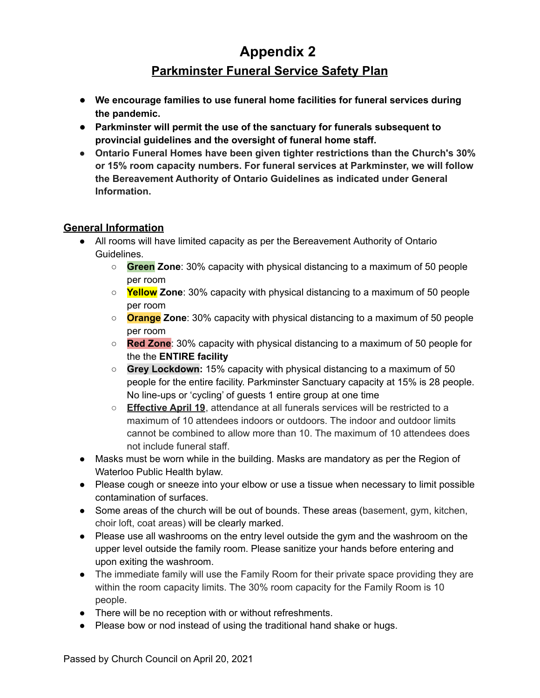# **Appendix 2**

## **Parkminster Funeral Service Safety Plan**

- **● We encourage families to use funeral home facilities for funeral services during the pandemic.**
- **● Parkminster will permit the use of the sanctuary for funerals subsequent to provincial guidelines and the oversight of funeral home staff.**
- **Ontario Funeral Homes have been given tighter restrictions than the Church's 30% or 15% room capacity numbers. For funeral services at Parkminster, we will follow the Bereavement Authority of Ontario Guidelines as indicated under General Information.**

## **General Information**

- All rooms will have limited capacity as per the Bereavement Authority of Ontario Guidelines.
	- **Green Zone**: 30% capacity with physical distancing to a maximum of 50 people per room
	- **Yellow Zone**: 30% capacity with physical distancing to a maximum of 50 people per room
	- **Orange Zone**: 30% capacity with physical distancing to a maximum of 50 people per room
	- **Red Zone**: 30% capacity with physical distancing to a maximum of 50 people for the the **ENTIRE facility**
	- **Grey Lockdown:** 15% capacity with physical distancing to a maximum of 50 people for the entire facility. Parkminster Sanctuary capacity at 15% is 28 people. No line-ups or 'cycling' of guests 1 entire group at one time
	- **Effective April 19**, attendance at all funerals services will be restricted to a maximum of 10 attendees indoors or outdoors. The indoor and outdoor limits cannot be combined to allow more than 10. The maximum of 10 attendees does not include funeral staff.
- Masks must be worn while in the building. Masks are mandatory as per the Region of Waterloo Public Health bylaw.
- Please cough or sneeze into your elbow or use a tissue when necessary to limit possible contamination of surfaces.
- Some areas of the church will be out of bounds. These areas (basement, gym, kitchen, choir loft, coat areas) will be clearly marked.
- Please use all washrooms on the entry level outside the gym and the washroom on the upper level outside the family room. Please sanitize your hands before entering and upon exiting the washroom.
- The immediate family will use the Family Room for their private space providing they are within the room capacity limits. The 30% room capacity for the Family Room is 10 people.
- There will be no reception with or without refreshments.
- Please bow or nod instead of using the traditional hand shake or hugs.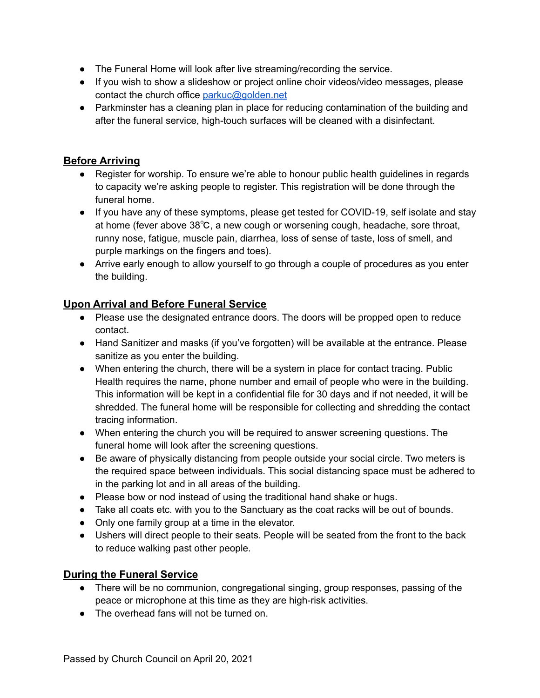- The Funeral Home will look after live streaming/recording the service.
- If you wish to show a slideshow or project online choir videos/video messages, please contact the church office parkuc@golden.net
- Parkminster has a cleaning plan in place for reducing contamination of the building and after the funeral service, high-touch surfaces will be cleaned with a disinfectant.

## **Before Arriving**

- Register for worship. To ensure we're able to honour public health guidelines in regards to capacity we're asking people to register. This registration will be done through the funeral home.
- If you have any of these symptoms, please get tested for COVID-19, self isolate and stay at home (fever above 38℃, a new cough or worsening cough, headache, sore throat, runny nose, fatigue, muscle pain, diarrhea, loss of sense of taste, loss of smell, and purple markings on the fingers and toes).
- Arrive early enough to allow yourself to go through a couple of procedures as you enter the building.

## **Upon Arrival and Before Funeral Service**

- Please use the designated entrance doors. The doors will be propped open to reduce contact.
- Hand Sanitizer and masks (if you've forgotten) will be available at the entrance. Please sanitize as you enter the building.
- When entering the church, there will be a system in place for contact tracing. Public Health requires the name, phone number and email of people who were in the building. This information will be kept in a confidential file for 30 days and if not needed, it will be shredded. The funeral home will be responsible for collecting and shredding the contact tracing information.
- When entering the church you will be required to answer screening questions. The funeral home will look after the screening questions.
- Be aware of physically distancing from people outside your social circle. Two meters is the required space between individuals. This social distancing space must be adhered to in the parking lot and in all areas of the building.
- Please bow or nod instead of using the traditional hand shake or hugs.
- Take all coats etc. with you to the Sanctuary as the coat racks will be out of bounds.
- Only one family group at a time in the elevator.
- Ushers will direct people to their seats. People will be seated from the front to the back to reduce walking past other people.

## **During the Funeral Service**

- There will be no communion, congregational singing, group responses, passing of the peace or microphone at this time as they are high-risk activities.
- The overhead fans will not be turned on.